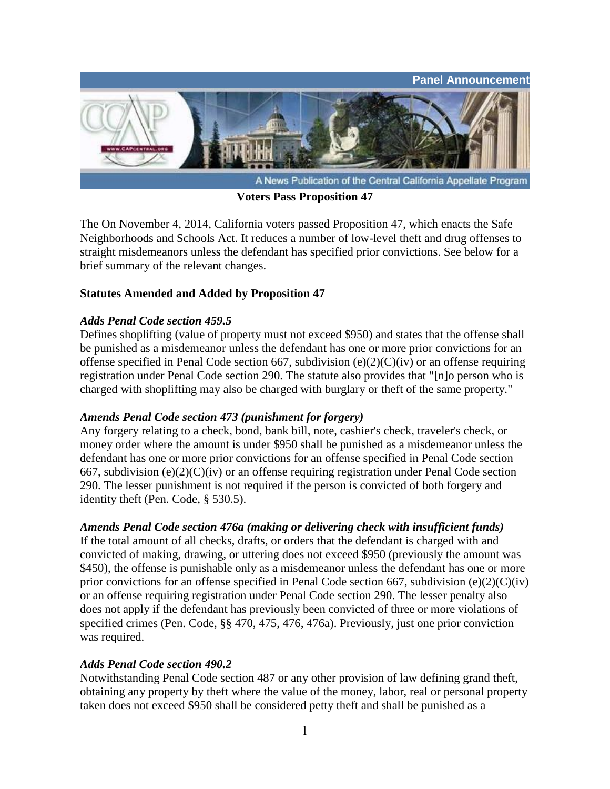

**Voters Pass Proposition 47**

The On November 4, 2014, California voters passed Proposition 47, which enacts the Safe Neighborhoods and Schools Act. It reduces a number of low-level theft and drug offenses to straight misdemeanors unless the defendant has specified prior convictions. See below for a brief summary of the relevant changes.

## **Statutes Amended and Added by Proposition 47**

### *Adds Penal Code section 459.5*

Defines shoplifting (value of property must not exceed \$950) and states that the offense shall be punished as a misdemeanor unless the defendant has one or more prior convictions for an offense specified in Penal Code section 667, subdivision (e)(2)(C)(iv) or an offense requiring registration under Penal Code section 290. The statute also provides that "[n]o person who is charged with shoplifting may also be charged with burglary or theft of the same property."

### *Amends Penal Code section 473 (punishment for forgery)*

Any forgery relating to a check, bond, bank bill, note, cashier's check, traveler's check, or money order where the amount is under \$950 shall be punished as a misdemeanor unless the defendant has one or more prior convictions for an offense specified in Penal Code section 667, subdivision (e)(2)(C)(iv) or an offense requiring registration under Penal Code section 290. The lesser punishment is not required if the person is convicted of both forgery and identity theft (Pen. Code, § 530.5).

# *Amends Penal Code section 476a (making or delivering check with insufficient funds)*

If the total amount of all checks, drafts, or orders that the defendant is charged with and convicted of making, drawing, or uttering does not exceed \$950 (previously the amount was \$450), the offense is punishable only as a misdemeanor unless the defendant has one or more prior convictions for an offense specified in Penal Code section 667, subdivision (e)(2)(C)(iv) or an offense requiring registration under Penal Code section 290. The lesser penalty also does not apply if the defendant has previously been convicted of three or more violations of specified crimes (Pen. Code, §§ 470, 475, 476, 476a). Previously, just one prior conviction was required.

### *Adds Penal Code section 490.2*

Notwithstanding Penal Code section 487 or any other provision of law defining grand theft, obtaining any property by theft where the value of the money, labor, real or personal property taken does not exceed \$950 shall be considered petty theft and shall be punished as a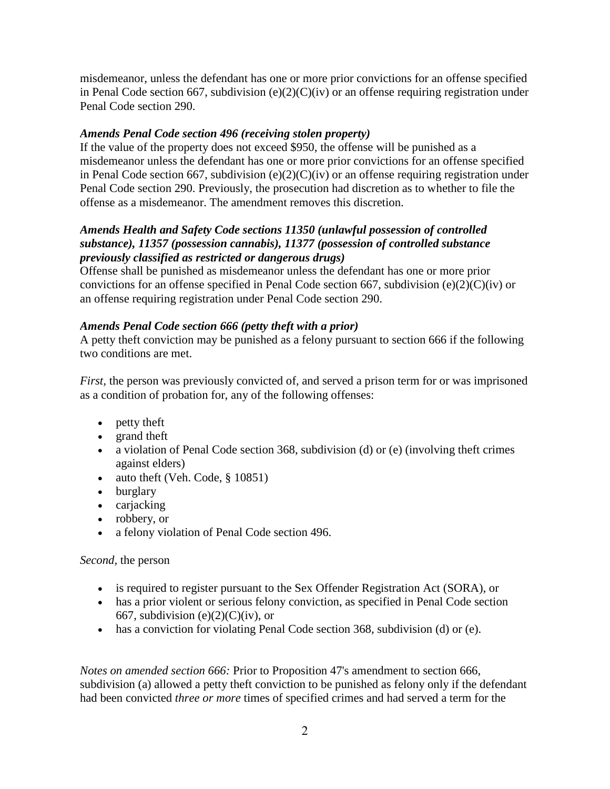misdemeanor, unless the defendant has one or more prior convictions for an offense specified in Penal Code section 667, subdivision  $(e)(2)(C)(iv)$  or an offense requiring registration under Penal Code section 290.

## *Amends Penal Code section 496 (receiving stolen property)*

If the value of the property does not exceed \$950, the offense will be punished as a misdemeanor unless the defendant has one or more prior convictions for an offense specified in Penal Code section 667, subdivision  $(e)(2)(C)(iv)$  or an offense requiring registration under Penal Code section 290. Previously, the prosecution had discretion as to whether to file the offense as a misdemeanor. The amendment removes this discretion.

## *Amends Health and Safety Code sections 11350 (unlawful possession of controlled substance), 11357 (possession cannabis), 11377 (possession of controlled substance previously classified as restricted or dangerous drugs)*

Offense shall be punished as misdemeanor unless the defendant has one or more prior convictions for an offense specified in Penal Code section 667, subdivision (e)(2)(C)(iv) or an offense requiring registration under Penal Code section 290.

## *Amends Penal Code section 666 (petty theft with a prior)*

A petty theft conviction may be punished as a felony pursuant to section 666 if the following two conditions are met.

*First,* the person was previously convicted of, and served a prison term for or was imprisoned as a condition of probation for, any of the following offenses:

- petty theft
- grand theft
- a violation of Penal Code section 368, subdivision (d) or (e) (involving theft crimes against elders)
- $\bullet$  auto theft (Veh. Code, § 10851)
- burglary
- carjacking
- robbery, or
- a felony violation of Penal Code section 496.

### *Second,* the person

- is required to register pursuant to the Sex Offender Registration Act (SORA), or
- has a prior violent or serious felony conviction, as specified in Penal Code section 667, subdivision (e) $(2)(C)(iv)$ , or
- has a conviction for violating Penal Code section 368, subdivision (d) or (e).

*Notes on amended section 666:* Prior to Proposition 47's amendment to section 666, subdivision (a) allowed a petty theft conviction to be punished as felony only if the defendant had been convicted *three or more* times of specified crimes and had served a term for the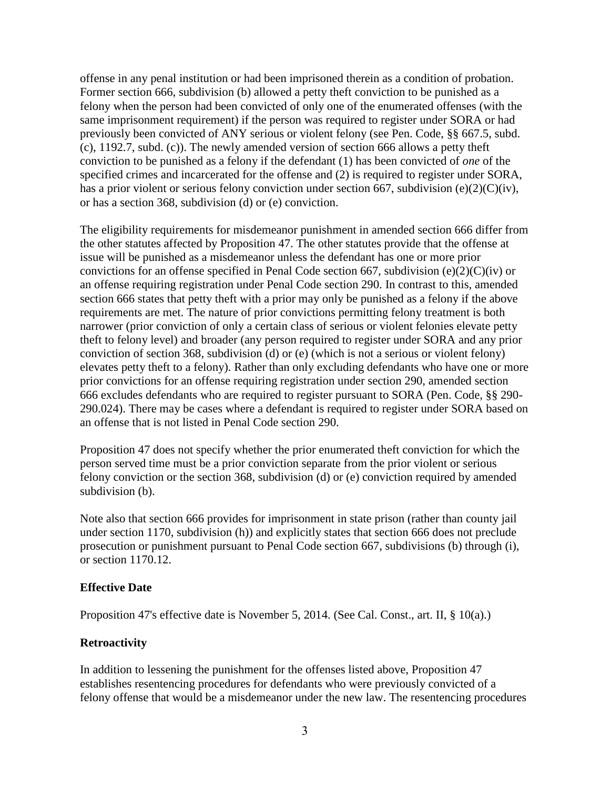offense in any penal institution or had been imprisoned therein as a condition of probation. Former section 666, subdivision (b) allowed a petty theft conviction to be punished as a felony when the person had been convicted of only one of the enumerated offenses (with the same imprisonment requirement) if the person was required to register under SORA or had previously been convicted of ANY serious or violent felony (see Pen. Code, §§ 667.5, subd. (c), 1192.7, subd. (c)). The newly amended version of section 666 allows a petty theft conviction to be punished as a felony if the defendant (1) has been convicted of *one* of the specified crimes and incarcerated for the offense and (2) is required to register under SORA, has a prior violent or serious felony conviction under section 667, subdivision (e)(2)(C)(iv), or has a section 368, subdivision (d) or (e) conviction.

The eligibility requirements for misdemeanor punishment in amended section 666 differ from the other statutes affected by Proposition 47. The other statutes provide that the offense at issue will be punished as a misdemeanor unless the defendant has one or more prior convictions for an offense specified in Penal Code section 667, subdivision (e)(2)(C)(iv) or an offense requiring registration under Penal Code section 290. In contrast to this, amended section 666 states that petty theft with a prior may only be punished as a felony if the above requirements are met. The nature of prior convictions permitting felony treatment is both narrower (prior conviction of only a certain class of serious or violent felonies elevate petty theft to felony level) and broader (any person required to register under SORA and any prior conviction of section 368, subdivision (d) or (e) (which is not a serious or violent felony) elevates petty theft to a felony). Rather than only excluding defendants who have one or more prior convictions for an offense requiring registration under section 290, amended section 666 excludes defendants who are required to register pursuant to SORA (Pen. Code, §§ 290- 290.024). There may be cases where a defendant is required to register under SORA based on an offense that is not listed in Penal Code section 290.

Proposition 47 does not specify whether the prior enumerated theft conviction for which the person served time must be a prior conviction separate from the prior violent or serious felony conviction or the section 368, subdivision (d) or (e) conviction required by amended subdivision (b).

Note also that section 666 provides for imprisonment in state prison (rather than county jail under section 1170, subdivision (h)) and explicitly states that section 666 does not preclude prosecution or punishment pursuant to Penal Code section 667, subdivisions (b) through (i), or section 1170.12.

#### **Effective Date**

Proposition 47's effective date is November 5, 2014. (See Cal. Const., art. II, § 10(a).)

### **Retroactivity**

In addition to lessening the punishment for the offenses listed above, Proposition 47 establishes resentencing procedures for defendants who were previously convicted of a felony offense that would be a misdemeanor under the new law. The resentencing procedures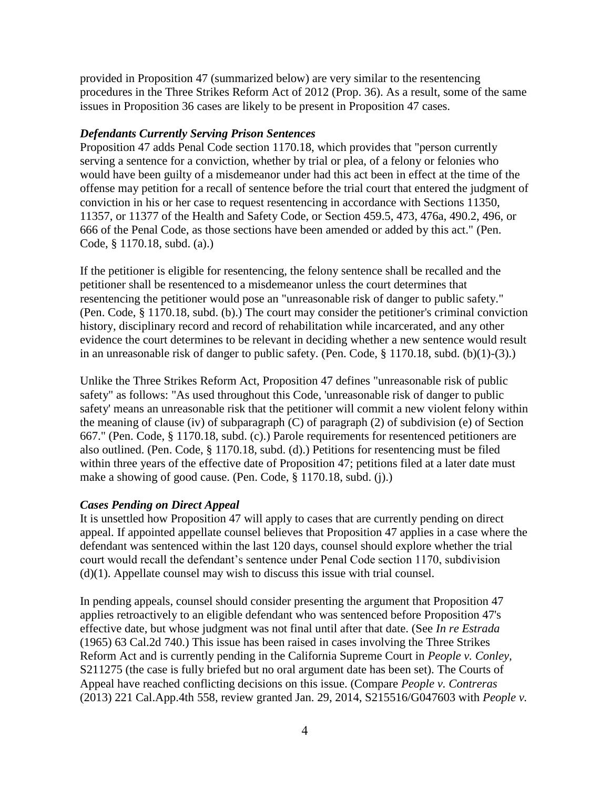provided in Proposition 47 (summarized below) are very similar to the resentencing procedures in the Three Strikes Reform Act of 2012 (Prop. 36). As a result, some of the same issues in Proposition 36 cases are likely to be present in Proposition 47 cases.

### *Defendants Currently Serving Prison Sentences*

Proposition 47 adds Penal Code section 1170.18, which provides that "person currently serving a sentence for a conviction, whether by trial or plea, of a felony or felonies who would have been guilty of a misdemeanor under had this act been in effect at the time of the offense may petition for a recall of sentence before the trial court that entered the judgment of conviction in his or her case to request resentencing in accordance with Sections 11350, 11357, or 11377 of the Health and Safety Code, or Section 459.5, 473, 476a, 490.2, 496, or 666 of the Penal Code, as those sections have been amended or added by this act." (Pen. Code, § 1170.18, subd. (a).)

If the petitioner is eligible for resentencing, the felony sentence shall be recalled and the petitioner shall be resentenced to a misdemeanor unless the court determines that resentencing the petitioner would pose an "unreasonable risk of danger to public safety." (Pen. Code, § 1170.18, subd. (b).) The court may consider the petitioner's criminal conviction history, disciplinary record and record of rehabilitation while incarcerated, and any other evidence the court determines to be relevant in deciding whether a new sentence would result in an unreasonable risk of danger to public safety. (Pen. Code, § 1170.18, subd. (b)(1)-(3).)

Unlike the Three Strikes Reform Act, Proposition 47 defines "unreasonable risk of public safety" as follows: "As used throughout this Code, 'unreasonable risk of danger to public safety' means an unreasonable risk that the petitioner will commit a new violent felony within the meaning of clause (iv) of subparagraph (C) of paragraph (2) of subdivision (e) of Section 667." (Pen. Code, § 1170.18, subd. (c).) Parole requirements for resentenced petitioners are also outlined. (Pen. Code, § 1170.18, subd. (d).) Petitions for resentencing must be filed within three years of the effective date of Proposition 47; petitions filed at a later date must make a showing of good cause. (Pen. Code, § 1170.18, subd. (j).)

### *Cases Pending on Direct Appeal*

It is unsettled how Proposition 47 will apply to cases that are currently pending on direct appeal. If appointed appellate counsel believes that Proposition 47 applies in a case where the defendant was sentenced within the last 120 days, counsel should explore whether the trial court would recall the defendant's sentence under Penal Code section 1170, subdivision (d)(1). Appellate counsel may wish to discuss this issue with trial counsel.

In pending appeals, counsel should consider presenting the argument that Proposition 47 applies retroactively to an eligible defendant who was sentenced before Proposition 47's effective date, but whose judgment was not final until after that date. (See *In re Estrada* (1965) 63 Cal.2d 740.) This issue has been raised in cases involving the Three Strikes Reform Act and is currently pending in the California Supreme Court in *People v. Conley,* S211275 (the case is fully briefed but no oral argument date has been set). The Courts of Appeal have reached conflicting decisions on this issue. (Compare *People v. Contreras* (2013) 221 Cal.App.4th 558, review granted Jan. 29, 2014, S215516/G047603 with *People v.*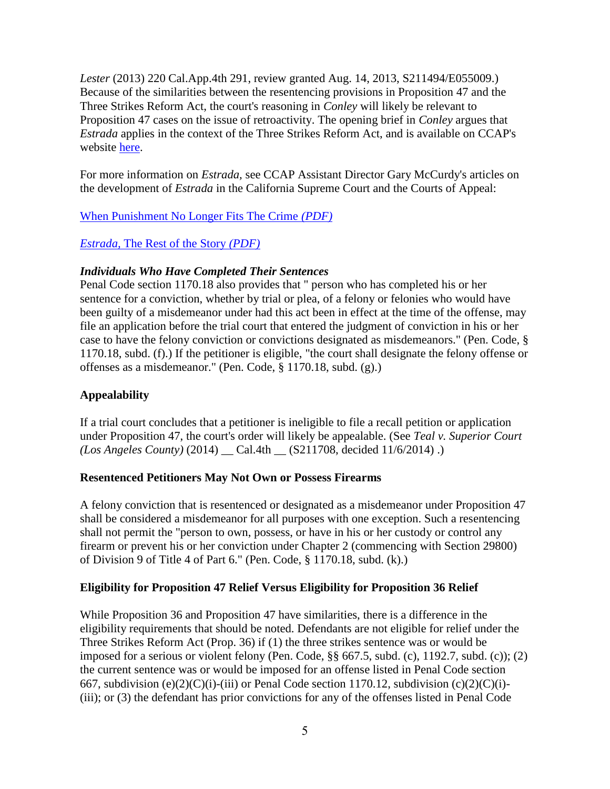*Lester* (2013) 220 Cal.App.4th 291, review granted Aug. 14, 2013, S211494/E055009.) Because of the similarities between the resentencing provisions in Proposition 47 and the Three Strikes Reform Act, the court's reasoning in *Conley* will likely be relevant to Proposition 47 cases on the issue of retroactivity. The opening brief in *Conley* argues that *Estrada* applies in the context of the Three Strikes Reform Act, and is available on CCAP's website [here.](http://trk.cp20.com/Tracking/t.c?7klri-i1tpr-dy3ngi0&_v=2)

For more information on *Estrada,* see CCAP Assistant Director Gary McCurdy's articles on the development of *Estrada* in the California Supreme Court and the Courts of Appeal:

[When Punishment No Longer Fits The Crime](http://trk.cp20.com/Tracking/t.c?7klri-i1tps-dy3ngi1&_v=2) *(PDF)*

### *Estrada,* [The Rest of the Story](http://trk.cp20.com/Tracking/t.c?7klri-i1tpt-dy3ngi2&_v=2) *(PDF)*

### *Individuals Who Have Completed Their Sentences*

Penal Code section 1170.18 also provides that " person who has completed his or her sentence for a conviction, whether by trial or plea, of a felony or felonies who would have been guilty of a misdemeanor under had this act been in effect at the time of the offense, may file an application before the trial court that entered the judgment of conviction in his or her case to have the felony conviction or convictions designated as misdemeanors." (Pen. Code, § 1170.18, subd. (f).) If the petitioner is eligible, "the court shall designate the felony offense or offenses as a misdemeanor." (Pen. Code, § 1170.18, subd. (g).)

### **Appealability**

If a trial court concludes that a petitioner is ineligible to file a recall petition or application under Proposition 47, the court's order will likely be appealable. (See *Teal v. Superior Court (Los Angeles County)* (2014) \_\_ Cal.4th \_\_ (S211708, decided 11/6/2014) .)

### **Resentenced Petitioners May Not Own or Possess Firearms**

A felony conviction that is resentenced or designated as a misdemeanor under Proposition 47 shall be considered a misdemeanor for all purposes with one exception. Such a resentencing shall not permit the "person to own, possess, or have in his or her custody or control any firearm or prevent his or her conviction under Chapter 2 (commencing with Section 29800) of Division 9 of Title 4 of Part 6." (Pen. Code, § 1170.18, subd. (k).)

### **Eligibility for Proposition 47 Relief Versus Eligibility for Proposition 36 Relief**

While Proposition 36 and Proposition 47 have similarities, there is a difference in the eligibility requirements that should be noted. Defendants are not eligible for relief under the Three Strikes Reform Act (Prop. 36) if (1) the three strikes sentence was or would be imposed for a serious or violent felony (Pen. Code, §§ 667.5, subd. (c), 1192.7, subd. (c)); (2) the current sentence was or would be imposed for an offense listed in Penal Code section 667, subdivision (e)(2)(C)(i)-(iii) or Penal Code section 1170.12, subdivision (c)(2)(C)(i)-(iii); or (3) the defendant has prior convictions for any of the offenses listed in Penal Code